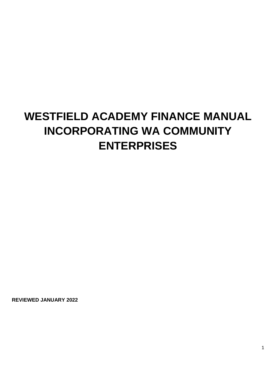# **WESTFIELD ACADEMY FINANCE MANUAL INCORPORATING WA COMMUNITY ENTERPRISES**

**REVIEWED JANUARY 2022**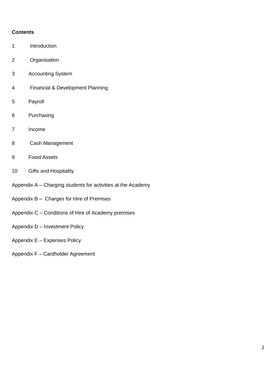# **Contents**

- 1 Introduction
- 2 Organisation
- 3 Accounting System
- 4 Financial & Development Planning
- 5 Payroll
- 6 Purchasing
- 7 Income
- 8 Cash Management
- 9 Fixed Assets
- 10 Gifts and Hospitality
- Appendix A Charging students for activities at the Academy
- Appendix B Charges for Hire of Premises
- Appendix C Conditions of Hire of Academy premises
- Appendix D Investment Policy
- Appendix E Expenses Policy
- Appendix F Cardholder Agreement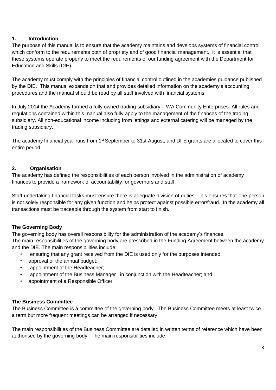## **1. Introduction**

The purpose of this manual is to ensure that the academy maintains and develops systems of financial control which conform to the requirements both of propriety and of good financial management. It is essential that these systems operate properly to meet the requirements of our funding agreement with the Department for Education and Skills (DfE).

The academy must comply with the principles of financial control outlined in the academies guidance published by the DfE. This manual expands on that and provides detailed information on the academy's accounting procedures and the manual should be read by all staff involved with financial systems.

In July 2014 the Academy formed a fully owned trading subsidiary – WA Community Enterprises. All rules and regulations contained within this manual also fully apply to the management of the finances of the trading subsidiary. All non-educational income including from lettings and external catering will be managed by the trading subsidiary.

The academy financial year runs from 1<sup>st</sup> September to 31st August, and DFE grants are allocated to cover this entire period.

## **2. Organisation**

The academy has defined the responsibilities of each person involved in the administration of academy finances to provide a framework of accountability for governors and staff.

Staff undertaking financial tasks must ensure there is adequate division of duties. This ensures that one person is not solely responsible for any given function and helps protect against possible error/fraud. In the academy all transactions must be traceable through the system from start to finish.

# **The Governing Body**

The governing body has overall responsibility for the administration of the academy's finances. The main responsibilities of the governing body are prescribed in the Funding Agreement between the academy and the DfE. The main responsibilities include:

- ensuring that any grant received from the DfE is used only for the purposes intended;
- approval of the annual budget;
- appointment of the Headteacher;
- appointment of the Business Manager , in conjunction with the Headteacher; and
- appointment of a Responsible Officer

## **The Business Committee**

The Business Committee is a committee of the governing body. The Business Committee meets at least twice a term but more frequent meetings can be arranged if necessary.

The main responsibilities of the Business Committee are detailed in written terms of reference which have been authorised by the governing body. The main responsibilities include: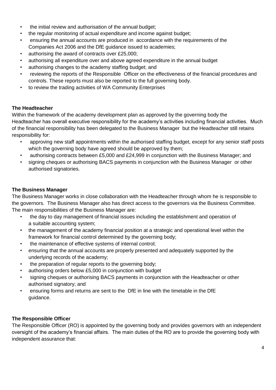- the initial review and authorisation of the annual budget;
- the regular monitoring of actual expenditure and income against budget:
- ensuring the annual accounts are produced in accordance with the requirements of the Companies Act 2006 and the DfE guidance issued to academies;
- authorising the award of contracts over £25,000;
- authorising all expenditure over and above agreed expenditure in the annual budget
- authorising changes to the academy staffing budget; and
- reviewing the reports of the Responsible Officer on the effectiveness of the financial procedures and controls. These reports must also be reported to the full governing body.
- to review the trading activities of WA Community Enterprises

# **The Headteacher**

Within the framework of the academy development plan as approved by the governing body the Headteacher has overall executive responsibility for the academy's activities including financial activities. Much of the financial responsibility has been delegated to the Business Manager but the Headteacher still retains responsibility for:

- approving new staff appointments within the authorised staffing budget, except for any senior staff posts which the governing body have agreed should be approved by them;
- authorising contracts between £5,000 and £24,999 in conjunction with the Business Manager; and
- signing cheques or authorising BACS payments in conjunction with the Business Manager or other authorised signatories.

# **The Business Manager**

The Business Manager works in close collaboration with the Headteacher through whom he is responsible to the governors. The Business Manager also has direct access to the governors via the Business Committee. The main responsibilities of the Business Manager are:

- the day to day management of financial issues including the establishment and operation of a suitable accounting system;
- the management of the academy financial position at a strategic and operational level within the framework for financial control determined by the governing body;
- the maintenance of effective systems of internal control;
- ensuring that the annual accounts are properly presented and adequately supported by the underlying records of the academy;
- the preparation of regular reports to the governing body;
- authorising orders below £5,000 in conjunction with budget
- signing cheques or authorising BACS payments in conjunction with the Headteacher or other authorised signatory; and
- ensuring forms and returns are sent to the DfE in line with the timetable in the DfE guidance.

# **The Responsible Officer**

The Responsible Officer (RO) is appointed by the governing body and provides governors with an independent oversight of the academy's financial affairs. The main duties of the RO are to provide the governing body with independent assurance that: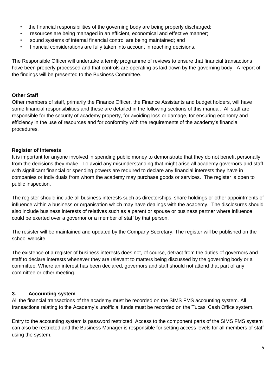- the financial responsibilities of the governing body are being properly discharged;
- resources are being managed in an efficient, economical and effective manner;
- sound systems of internal financial control are being maintained; and
- financial considerations are fully taken into account in reaching decisions.

The Responsible Officer will undertake a termly programme of reviews to ensure that financial transactions have been properly processed and that controls are operating as laid down by the governing body. A report of the findings will be presented to the Business Committee.

# **Other Staff**

Other members of staff, primarily the Finance Officer, the Finance Assistants and budget holders, will have some financial responsibilities and these are detailed in the following sections of this manual. All staff are responsible for the security of academy property, for avoiding loss or damage, for ensuring economy and efficiency in the use of resources and for conformity with the requirements of the academy's financial procedures.

# **Register of Interests**

It is important for anyone involved in spending public money to demonstrate that they do not benefit personally from the decisions they make. To avoid any misunderstanding that might arise all academy governors and staff with significant financial or spending powers are required to declare any financial interests they have in companies or individuals from whom the academy may purchase goods or services. The register is open to public inspection.

The register should include all business interests such as directorships, share holdings or other appointments of influence within a business or organisation which may have dealings with the academy. The disclosures should also include business interests of relatives such as a parent or spouse or business partner where influence could be exerted over a governor or a member of staff by that person.

The resister will be maintained and updated by the Company Secretary. The register will be published on the school website.

The existence of a register of business interests does not, of course, detract from the duties of governors and staff to declare interests whenever they are relevant to matters being discussed by the governing body or a committee. Where an interest has been declared, governors and staff should not attend that part of any committee or other meeting.

# **3. Accounting system**

All the financial transactions of the academy must be recorded on the SIMS FMS accounting system. All transactions relating to the Academy's unofficial funds must be recorded on the Tucasi Cash Office system.

Entry to the accounting system is password restricted. Access to the component parts of the SIMS FMS system can also be restricted and the Business Manager is responsible for setting access levels for all members of staff using the system.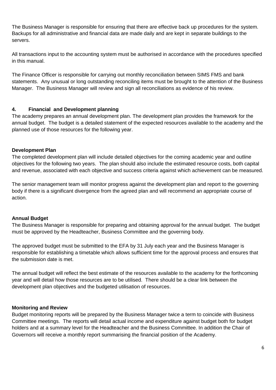The Business Manager is responsible for ensuring that there are effective back up procedures for the system. Backups for all administrative and financial data are made daily and are kept in separate buildings to the servers.

All transactions input to the accounting system must be authorised in accordance with the procedures specified in this manual.

The Finance Officer is responsible for carrying out monthly reconciliation between SIMS FMS and bank statements. Any unusual or long outstanding reconciling items must be brought to the attention of the Business Manager. The Business Manager will review and sign all reconciliations as evidence of his review.

# **4. Financial and Development planning**

The academy prepares an annual development plan. The development plan provides the framework for the annual budget. The budget is a detailed statement of the expected resources available to the academy and the planned use of those resources for the following year.

## **Development Plan**

The completed development plan will include detailed objectives for the coming academic year and outline objectives for the following two years. The plan should also include the estimated resource costs, both capital and revenue, associated with each objective and success criteria against which achievement can be measured.

The senior management team will monitor progress against the development plan and report to the governing body if there is a significant divergence from the agreed plan and will recommend an appropriate course of action.

## **Annual Budget**

The Business Manager is responsible for preparing and obtaining approval for the annual budget. The budget must be approved by the Headteacher, Business Committee and the governing body.

The approved budget must be submitted to the EFA by 31 July each year and the Business Manager is responsible for establishing a timetable which allows sufficient time for the approval process and ensures that the submission date is met.

The annual budget will reflect the best estimate of the resources available to the academy for the forthcoming year and will detail how those resources are to be utilised. There should be a clear link between the development plan objectives and the budgeted utilisation of resources.

## **Monitoring and Review**

Budget monitoring reports will be prepared by the Business Manager twice a term to coincide with Business Committee meetings. The reports will detail actual income and expenditure against budget both for budget holders and at a summary level for the Headteacher and the Business Committee. In addition the Chair of Governors will receive a monthly report summarising the financial position of the Academy.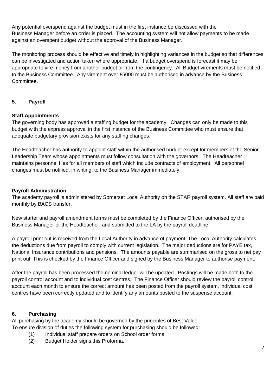Any potential overspend against the budget must in the first instance be discussed with the Business Manager before an order is placed. The accounting system will not allow payments to be made against an overspent budget without the approval of the Business Manager.

The monitoring process should be effective and timely in highlighting variances in the budget so that differences can be investigated and action taken where appropriate. If a budget overspend is forecast it may be appropriate to vire money from another budget or from the contingency. All Budget virements must be notified to the Business Committee. Any virement over £5000 must be authorised in advance by the Business Committee.

# **5. Payroll**

## **Staff Appointments**

The governing body has approved a staffing budget for the academy. Changes can only be made to this budget with the express approval in the first instance of the Business Committee who must ensure that adequate budgetary provision exists for any staffing changes.

The Headteacher has authority to appoint staff within the authorised budget except for members of the Senior Leadership Team whose appointments must follow consultation with the governors. The Headteacher maintains personnel files for all members of staff which include contracts of employment. All personnel changes must be notified, in writing, to the Business Manager immediately.

## **Payroll Administration**

The academy payroll is administered by Somerset Local Authority on the STAR payroll system. All staff are paid monthly by BACS transfer.

New starter and payroll amendment forms must be completed by the Finance Officer, authorised by the Business Manager or the Headteacher, and submitted to the LA by the payroll deadline.

A payroll print out is received from the Local Authority in advance of payment. The Local Authority calculates the deductions due from payroll to comply with current legislation. The major deductions are for PAYE tax, National Insurance contributions and pensions. The amounts payable are summarised on the gross to net pay print out. This is checked by the Finance Officer and signed by the Business Manager to authorise payment.

After the payroll has been processed the nominal ledger will be updated. Postings will be made both to the payroll control account and to individual cost centres. The Finance Officer should review the payroll control account each month to ensure the correct amount has been posted from the payroll system, individual cost centres have been correctly updated and to identify any amounts posted to the suspense account.

# **6. Purchasing**

All purchasing by the academy should be governed by the principles of Best Value. To ensure division of duties the following system for purchasing should be followed:

- (1) Individual staff prepare orders on School order forms.
- (2) Budget Holder signs this Proforma.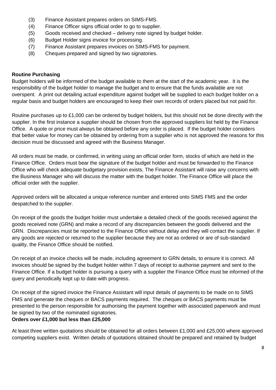- (3) Finance Assistant prepares orders on SIMS-FMS.
- (4) Finance Officer signs official order to go to supplier.
- (5) Goods received and checked delivery note signed by budget holder.
- (6) Budget Holder signs invoice for processing.
- (7) Finance Assistant prepares invoices on SIMS-FMS for payment.
- (8) Cheques prepared and signed by two signatories.

## **Routine Purchasing**

Budget holders will be informed of the budget available to them at the start of the academic year. It is the responsibility of the budget holder to manage the budget and to ensure that the funds available are not overspent. A print out detailing actual expenditure against budget will be supplied to each budget holder on a regular basis and budget holders are encouraged to keep their own records of orders placed but not paid for.

Routine purchases up to £1,000 can be ordered by budget holders, but this should not be done directly with the supplier. In the first instance a supplier should be chosen from the approved suppliers list held by the Finance Office. A quote or price must always be obtained before any order is placed. If the budget holder considers that better value for money can be obtained by ordering from a supplier who is not approved the reasons for this decision must be discussed and agreed with the Business Manager.

All orders must be made, or confirmed, in writing using an official order form, stocks of which are held in the Finance Office. Orders must bear the signature of the budget holder and must be forwarded to the Finance Office who will check adequate budgetary provision exists. The Finance Assistant will raise any concerns with the Business Manager who will discuss the matter with the budget holder. The Finance Office will place the official order with the supplier.

Approved orders will be allocated a unique reference number and entered onto SIMS FMS and the order despatched to the supplier.

On receipt of the goods the budget holder must undertake a detailed check of the goods received against the goods received note (GRN) and make a record of any discrepancies between the goods delivered and the GRN. Discrepancies must be reported to the Finance Office without delay and they will contact the supplier. If any goods are rejected or returned to the supplier because they are not as ordered or are of sub-standard quality, the Finance Office should be notified.

On receipt of an invoice checks will be made, including agreement to GRN details, to ensure it is correct. All invoices should be signed by the budget holder within 7 days of receipt to authorise payment and sent to the Finance Office. If a budget holder is pursuing a query with a supplier the Finance Office must be informed of the query and periodically kept up to date with progress.

On receipt of the signed invoice the Finance Assistant will input details of payments to be made on to SIMS FMS and generate the cheques or BACS payments required. The cheques or BACS payments must be presented to the person responsible for authorising the payment together with associated paperwork and must be signed by two of the nominated signatories.

# **Orders over £1,000 but less than £25,000**

At least three written quotations should be obtained for all orders between £1,000 and £25,000 where approved competing suppliers exist. Written details of quotations obtained should be prepared and retained by budget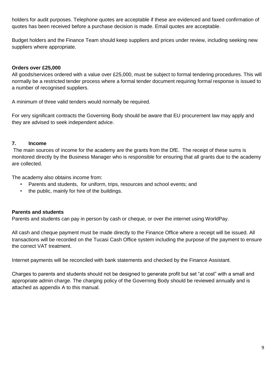holders for audit purposes. Telephone quotes are acceptable if these are evidenced and faxed confirmation of quotes has been received before a purchase decision is made. Email quotes are acceptable.

Budget holders and the Finance Team should keep suppliers and prices under review, including seeking new suppliers where appropriate.

## **Orders over £25,000**

All goods/services ordered with a value over £25,000, must be subject to formal tendering procedures. This will normally be a restricted tender process where a formal tender document requiring formal response is issued to a number of recognised suppliers.

A minimum of three valid tenders would normally be required.

For very significant contracts the Governing Body should be aware that EU procurement law may apply and they are advised to seek independent advice.

## **7. Income**

The main sources of income for the academy are the grants from the DfE. The receipt of these sums is monitored directly by the Business Manager who is responsible for ensuring that all grants due to the academy are collected.

The academy also obtains income from:

- Parents and students, for uniform, trips, resources and school events; and
- the public, mainly for hire of the buildings.

## **Parents and students**

Parents and students can pay in person by cash or cheque, or over the internet using WorldPay.

All cash and cheque payment must be made directly to the Finance Office where a receipt will be issued. All transactions will be recorded on the Tucasi Cash Office system including the purpose of the payment to ensure the correct VAT treatment.

Internet payments will be reconciled with bank statements and checked by the Finance Assistant.

Charges to parents and students should not be designed to generate profit but set "at cost" with a small and appropriate admin charge. The charging policy of the Governing Body should be reviewed annually and is attached as appendix A to this manual.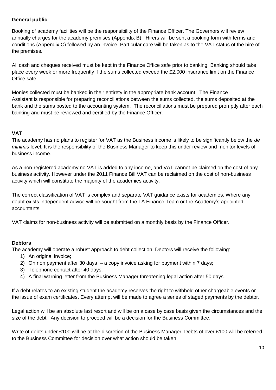# **General public**

Booking of academy facilities will be the responsibility of the Finance Officer. The Governors will review annually charges for the academy premises (Appendix B). Hirers will be sent a booking form with terms and conditions (Appendix C) followed by an invoice. Particular care will be taken as to the VAT status of the hire of the premises.

All cash and cheques received must be kept in the Finance Office safe prior to banking. Banking should take place every week or more frequently if the sums collected exceed the £2,000 insurance limit on the Finance Office safe.

Monies collected must be banked in their entirety in the appropriate bank account. The Finance Assistant is responsible for preparing reconciliations between the sums collected, the sums deposited at the bank and the sums posted to the accounting system. The reconciliations must be prepared promptly after each banking and must be reviewed and certified by the Finance Officer.

# **VAT**

The academy has no plans to register for VAT as the Business income is likely to be significantly below the *de minimis* level. It is the responsibility of the Business Manager to keep this under review and monitor levels of business income.

As a non-registered academy no VAT is added to any income, and VAT cannot be claimed on the cost of any business activity. However under the 2011 Finance Bill VAT can be reclaimed on the cost of non-business activity which will constitute the majority of the academies activity.

The correct classification of VAT is complex and separate VAT guidance exists for academies. Where any doubt exists independent advice will be sought from the LA Finance Team or the Academy's appointed accountants.

VAT claims for non-business activity will be submitted on a monthly basis by the Finance Officer.

## **Debtors**

The academy will operate a robust approach to debt collection. Debtors will receive the following:

- 1) An original invoice:
- 2) On non payment after 30 days a copy invoice asking for payment within 7 days;
- 3) Telephone contact after 40 days;
- 4) A final warning letter from the Business Manager threatening legal action after 50 days.

If a debt relates to an existing student the academy reserves the right to withhold other chargeable events or the issue of exam certificates. Every attempt will be made to agree a series of staged payments by the debtor.

Legal action will be an absolute last resort and will be on a case by case basis given the circumstances and the size of the debt. Any decision to proceed will be a decision for the Business Committee.

Write of debts under £100 will be at the discretion of the Business Manager. Debts of over £100 will be referred to the Business Committee for decision over what action should be taken.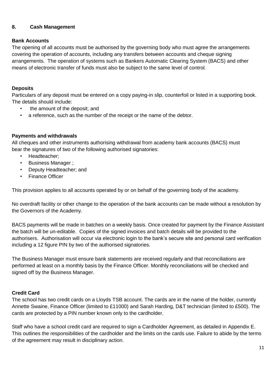## **8. Cash Management**

## **Bank Accounts**

The opening of all accounts must be authorised by the governing body who must agree the arrangements covering the operation of accounts, including any transfers between accounts and cheque signing arrangements. The operation of systems such as Bankers Automatic Clearing System (BACS) and other means of electronic transfer of funds must also be subject to the same level of control.

## **Deposits**

Particulars of any deposit must be entered on a copy paying-in slip, counterfoil or listed in a supporting book. The details should include:

- the amount of the deposit; and
- a reference, such as the number of the receipt or the name of the debtor.

## **Payments and withdrawals**

All cheques and other instruments authorising withdrawal from academy bank accounts (BACS) must bear the signatures of two of the following authorised signatories:

- Headteacher;
- Business Manager ;
- Deputy Headteacher; and
- Finance Officer

This provision applies to all accounts operated by or on behalf of the governing body of the academy.

No overdraft facility or other change to the operation of the bank accounts can be made without a resolution by the Governors of the Academy.

BACS payments will be made in batches on a weekly basis. Once created for payment by the Finance Assistant the batch will be un-editable. Copies of the signed invoices and batch details will be provided to the authorisers. Authorisation will occur via electronic login to the bank's secure site and personal card verification including a 12 figure PIN by two of the authorised signatories.

The Business Manager must ensure bank statements are received regularly and that reconciliations are performed at least on a monthly basis by the Finance Officer. Monthly reconciliations will be checked and signed off by the Business Manager.

## **Credit Card**

The school has two credit cards on a Lloyds TSB account. The cards are in the name of the holder, currently Annette Swaine, Finance Officer (limited to £11000) and Sarah Harding, D&T technician (limited to £500). The cards are protected by a PIN number known only to the cardholder.

Staff who have a school credit card are required to sign a Cardholder Agreement, as detailed in Appendix E. This outlines the responsibilities of the cardholder and the limits on the cards use. Failure to abide by the terms of the agreement may result in disciplinary action.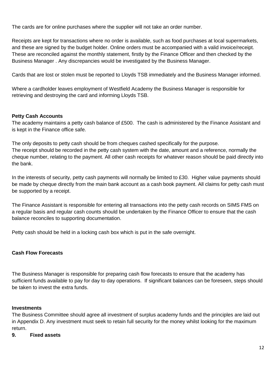The cards are for online purchases where the supplier will not take an order number.

Receipts are kept for transactions where no order is available, such as food purchases at local supermarkets, and these are signed by the budget holder. Online orders must be accompanied with a valid invoice/receipt. These are reconciled against the monthly statement, firstly by the Finance Officer and then checked by the Business Manager . Any discrepancies would be investigated by the Business Manager.

Cards that are lost or stolen must be reported to Lloyds TSB immediately and the Business Manager informed.

Where a cardholder leaves employment of Westfield Academy the Business Manager is responsible for retrieving and destroying the card and informing Lloyds TSB.

## **Petty Cash Accounts**

The academy maintains a petty cash balance of £500. The cash is administered by the Finance Assistant and is kept in the Finance office safe.

The only deposits to petty cash should be from cheques cashed specifically for the purpose. The receipt should be recorded in the petty cash system with the date, amount and a reference, normally the cheque number, relating to the payment. All other cash receipts for whatever reason should be paid directly into the bank.

In the interests of security, petty cash payments will normally be limited to £30. Higher value payments should be made by cheque directly from the main bank account as a cash book payment. All claims for petty cash must be supported by a receipt.

The Finance Assistant is responsible for entering all transactions into the petty cash records on SIMS FMS on a regular basis and regular cash counts should be undertaken by the Finance Officer to ensure that the cash balance reconciles to supporting documentation.

Petty cash should be held in a locking cash box which is put in the safe overnight.

## **Cash Flow Forecasts**

The Business Manager is responsible for preparing cash flow forecasts to ensure that the academy has sufficient funds available to pay for day to day operations. If significant balances can be foreseen, steps should be taken to invest the extra funds.

## **Investments**

The Business Committee should agree all investment of surplus academy funds and the principles are laid out in Appendix D. Any investment must seek to retain full security for the money whilst looking for the maximum return.

## **9. Fixed assets**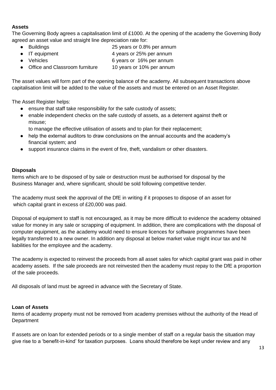## **Assets**

The Governing Body agrees a capitalisation limit of £1000. At the opening of the academy the Governing Body agreed an asset value and straight line depreciation rate for:

- Buildings 25 years or 0.8% per annum
- IT equipment 4 years or 25% per annum
- Vehicles 6 years or 16% per annum
- Office and Classroom furniture 10 years or 10% per annum

The asset values will form part of the opening balance of the academy. All subsequent transactions above capitalisation limit will be added to the value of the assets and must be entered on an Asset Register.

The Asset Register helps:

- ensure that staff take responsibility for the safe custody of assets;
- enable independent checks on the safe custody of assets, as a deterrent against theft or misuse;
	- to manage the effective utilisation of assets and to plan for their replacement;
- help the external auditors to draw conclusions on the annual accounts and the academy's financial system; and
- support insurance claims in the event of fire, theft, vandalism or other disasters.

# **Disposals**

Items which are to be disposed of by sale or destruction must be authorised for disposal by the Business Manager and, where significant, should be sold following competitive tender.

The academy must seek the approval of the DfE in writing if it proposes to dispose of an asset for which capital grant in excess of £20,000 was paid.

Disposal of equipment to staff is not encouraged, as it may be more difficult to evidence the academy obtained value for money in any sale or scrapping of equipment. In addition, there are complications with the disposal of computer equipment, as the academy would need to ensure licences for software programmes have been legally transferred to a new owner. In addition any disposal at below market value might incur tax and NI liabilities for the employee and the academy.

The academy is expected to reinvest the proceeds from all asset sales for which capital grant was paid in other academy assets. If the sale proceeds are not reinvested then the academy must repay to the DfE a proportion of the sale proceeds.

All disposals of land must be agreed in advance with the Secretary of State.

# **Loan of Assets**

Items of academy property must not be removed from academy premises without the authority of the Head of **Department** 

If assets are on loan for extended periods or to a single member of staff on a regular basis the situation may give rise to a 'benefit-in-kind' for taxation purposes. Loans should therefore be kept under review and any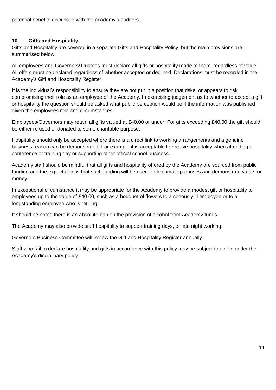potential benefits discussed with the academy's auditors.

# **10. Gifts and Hospitality**

Gifts and Hospitality are covered in a separate Gifts and Hospitality Policy, but the main provisions are summarised below.

All employees and Governors/Trustees must declare all gifts or hospitality made to them, regardless of value. All offers must be declared regardless of whether accepted or declined. Declarations must be recorded in the Academy's Gift and Hospitality Register.

It is the individual's responsibility to ensure they are not put in a position that risks, or appears to risk compromising their role as an employee of the Academy. In exercising judgement as to whether to accept a gift or hospitality the question should be asked what public perception would be if the information was published given the employees role and circumstances.

Employees/Governors may retain all gifts valued at £40.00 or under. For gifts exceeding £40.00 the gift should be either refused or donated to some charitable purpose.

Hospitality should only be accepted where there is a direct link to working arrangements and a genuine business reason can be demonstrated. For example it is acceptable to receive hospitality when attending a conference or training day or supporting other official school business.

Academy staff should be mindful that all gifts and hospitality offered by the Academy are sourced from public funding and the expectation is that such funding will be used for legitimate purposes and demonstrate value for money.

In exceptional circumstance it may be appropriate for the Academy to provide a modest gift or hospitality to employees up to the value of £40.00, such as a bouquet of flowers to a seriously ill employee or to a longstanding employee who is retiring.

It should be noted there is an absolute ban on the provision of alcohol from Academy funds.

The Academy may also provide staff hospitality to support training days, or late night working.

Governors Business Committee will review the Gift and Hospitality Register annually.

Staff who fail to declare hospitality and gifts in accordance with this policy may be subject to action under the Academy's disciplinary policy.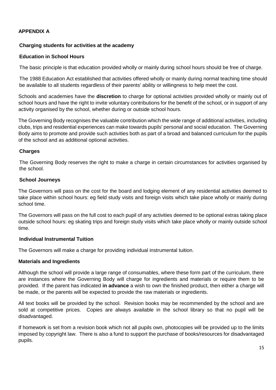# **APPENDIX A**

## **Charging students for activities at the academy**

## **Education in School Hours**

The basic principle is that education provided wholly or mainly during school hours should be free of charge.

The 1988 Education Act established that activities offered wholly or mainly during normal teaching time should be available to all students regardless of their parents' ability or willingness to help meet the cost.

Schools and academies have the **discretion** to charge for optional activities provided wholly or mainly out of school hours and have the right to invite voluntary contributions for the benefit of the school, or in support of any activity organised by the school, whether during or outside school hours.

The Governing Body recognises the valuable contribution which the wide range of additional activities, including clubs, trips and residential experiences can make towards pupils' personal and social education. The Governing Body aims to promote and provide such activities both as part of a broad and balanced curriculum for the pupils of the school and as additional optional activities.

## **Charges**

The Governing Body reserves the right to make a charge in certain circumstances for activities organised by the school.

## **School Journeys**

The Governors will pass on the cost for the board and lodging element of any residential activities deemed to take place within school hours: eg field study visits and foreign visits which take place wholly or mainly during school time.

The Governors will pass on the full cost to each pupil of any activities deemed to be optional extras taking place outside school hours: eg skating trips and foreign study visits which take place wholly or mainly outside school time.

## **Individual Instrumental Tuition**

The Governors will make a charge for providing individual instrumental tuition.

## **Materials and Ingredients**

Although the school will provide a large range of consumables, where these form part of the curriculum, there are instances where the Governing Body will charge for ingredients and materials or require them to be provided. If the parent has indicated **in advance** a wish to own the finished product, then either a charge will be made, or the parents will be expected to provide the raw materials or ingredients.

All text books will be provided by the school. Revision books may be recommended by the school and are sold at competitive prices. Copies are always available in the school library so that no pupil will be disadvantaged.

If homework is set from a revision book which not all pupils own, photocopies will be provided up to the limits imposed by copyright law. There is also a fund to support the purchase of books/resources for disadvantaged pupils.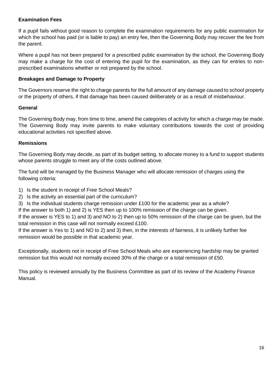## **Examination Fees**

If a pupil fails without good reason to complete the examination requirements for any public examination for which the school has paid (or is liable to pay) an entry fee, then the Governing Body may recover the fee from the parent.

Where a pupil has not been prepared for a prescribed public examination by the school, the Governing Body may make a charge for the cost of entering the pupil for the examination, as they can for entries to nonprescribed examinations whether or not prepared by the school.

## **Breakages and Damage to Property**

The Governors reserve the right to charge parents for the full amount of any damage caused to school property or the property of others, if that damage has been caused deliberately or as a result of misbehaviour.

## **General**

The Governing Body may, from time to time, amend the categories of activity for which a charge may be made. The Governing Body may invite parents to make voluntary contributions towards the cost of providing educational activities not specified above.

## **Remissions**

The Governing Body may decide, as part of its budget setting, to allocate money to a fund to support students whose parents struggle to meet any of the costs outlined above.

The fund will be managed by the Business Manager who will allocate remission of charges using the following criteria:

- 1) Is the student in receipt of Free School Meals?
- 2) Is the activity an essential part of the curriculum?
- 3) Is the individual students charge remission under £100 for the academic year as a whole?

If the answer to both 1) and 2) is YES then up to 100% remission of the charge can be given.

If the answer is YES to 1) and 3) and NO to 2) then up to 50% remission of the charge can be given, but the total remission in this case will not normally exceed £100.

If the answer is Yes to 1) and NO to 2) and 3) then, in the interests of fairness, it is unlikely further fee remission would be possible in that academic year.

Exceptionally, students not in receipt of Free School Meals who are experiencing hardship may be granted remission but this would not normally exceed 30% of the charge or a total remission of £50.

This policy is reviewed annually by the Business Committee as part of its review of the Academy Finance Manual.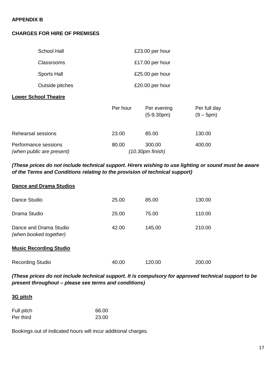## **APPENDIX B**

## **CHARGES FOR HIRE OF PREMISES**

| School Hall        | £23.00 per hour |
|--------------------|-----------------|
| Classrooms         | £17.00 per hour |
| <b>Sports Hall</b> | £25.00 per hour |
| Outside pitches    | £20.00 per hour |
|                    |                 |

#### **Lower School Theatre**

|                                                   | Per hour | Per evening<br>$(5-9.30pm)$  | Per full day<br>$(9 - 5pm)$ |
|---------------------------------------------------|----------|------------------------------|-----------------------------|
| Rehearsal sessions                                | 23.00    | 85.00                        | 130.00                      |
| Performance sessions<br>(when public are present) | 80.00    | 300.00<br>$(10.30pm$ finish) | 400.00                      |

# *(These prices do not include technical support. Hirers wishing to use lighting or sound must be aware of the Terms and Conditions relating to the provision of technical support)*

## **Dance and Drama Studios**

| Dance Studio                                     | 25.00 | 85.00  | 130.00 |
|--------------------------------------------------|-------|--------|--------|
| Drama Studio                                     | 25.00 | 75.00  | 110.00 |
| Dance and Drama Studio<br>(when booked together) | 42.00 | 145.00 | 210.00 |
| <b>Music Recording Studio</b>                    |       |        |        |
| <b>Recording Studio</b>                          | 40.00 | 120.00 | 200.00 |

# *(These prices do not include technical support. It is compulsory for approved technical support to be present throughout – please see terms and conditions)*

#### **3G pitch**

| Full pitch | 66.00 |
|------------|-------|
| Per third  | 23.00 |

Bookings out of indicated hours will incur additional charges.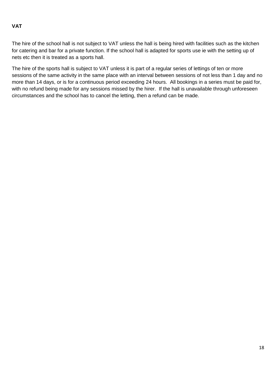# **VAT**

The hire of the school hall is not subject to VAT unless the hall is being hired with facilities such as the kitchen for catering and bar for a private function. If the school hall is adapted for sports use ie with the setting up of nets etc then it is treated as a sports hall.

The hire of the sports hall is subject to VAT unless it is part of a regular series of lettings of ten or more sessions of the same activity in the same place with an interval between sessions of not less than 1 day and no more than 14 days, or is for a continuous period exceeding 24 hours. All bookings in a series must be paid for, with no refund being made for any sessions missed by the hirer. If the hall is unavailable through unforeseen circumstances and the school has to cancel the letting, then a refund can be made.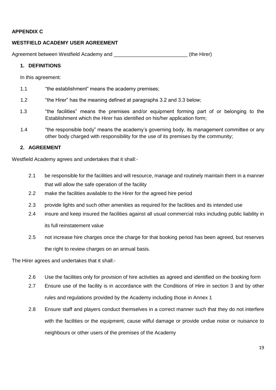# **APPENDIX C**

## **WESTFIELD ACADEMY USER AGREEMENT**

Agreement between Westfield Academy and **Agreement Setting Contact Academy** and the Hirer)

## **1. DEFINITIONS**

In this agreement:

- 1.1 "the establishment" means the academy premises;
- 1.2 "the Hirer" has the meaning defined at paragraphs 3.2 and 3.3 below;
- 1.3 "the facilities" means the premises and/or equipment forming part of or belonging to the Establishment which the Hirer has identified on his/her application form;
- 1.4 "the responsible body" means the academy's governing body, its management committee or any other body charged with responsibility for the use of its premises by the community;

## **2. AGREEMENT**

Westfield Academy agrees and undertakes that it shall:-

- 2.1 be responsible for the facilities and will resource, manage and routinely maintain them in a manner that will allow the safe operation of the facility
- 2.2 make the facilities available to the Hirer for the agreed hire period
- 2.3 provide lights and such other amenities as required for the facilities and its intended use
- 2.4 insure and keep insured the facilities against all usual commercial risks including public liability in its full reinstatement value
- 2.5 not increase hire charges once the charge for that booking period has been agreed, but reserves the right to review charges on an annual basis.

The Hirer agrees and undertakes that it shall:-

- 2.6 Use the facilities only for provision of hire activities as agreed and identified on the booking form
- 2.7 Ensure use of the facility is in accordance with the Conditions of Hire in section 3 and by other rules and regulations provided by the Academy including those in Annex 1
- 2.8 Ensure staff and players conduct themselves in a correct manner such that they do not interfere with the facilities or the equipment, cause wilful damage or provide undue noise or nuisance to neighbours or other users of the premises of the Academy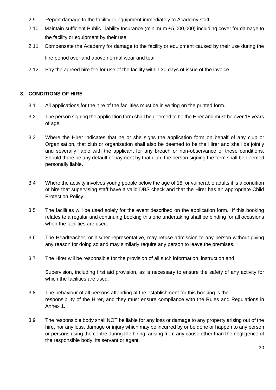- 2.9 Report damage to the facility or equipment immediately to Academy staff
- 2.10 Maintain sufficient Public Liability Insurance (minimum £5,000,000) including cover for damage to the facility or equipment by their use
- 2.11 Compensate the Academy for damage to the facility or equipment caused by their use during the hire period over and above normal wear and tear
- 2.12 Pay the agreed hire fee for use of the facility within 30 days of issue of the invoice

# **3. CONDITIONS OF HIRE**

- 3.1 All applications for the hire of the facilities must be in writing on the printed form.
- 3.2 The person signing the application form shall be deemed to be the Hirer and must be over 18 years of age.
- 3.3 Where the Hirer indicates that he or she signs the application form on behalf of any club or Organisation, that club or organisation shall also be deemed to be the Hirer and shall be jointly and severally liable with the applicant for any breach or non-observance of these conditions. Should there be any default of payment by that club, the person signing the form shall be deemed personally liable.
- 3.4 Where the activity involves young people below the age of 18, or vulnerable adults it is a condition of hire that supervising staff have a valid DBS check and that the Hirer has an appropriate Child Protection Policy.
- 3.5 The facilities will be used solely for the event described on the application form. If this booking relates to a regular and continuing booking this one undertaking shall be binding for all occasions when the facilities are used.
- 3.6 The Headteacher, or his/her representative, may refuse admission to any person without giving any reason for doing so and may similarly require any person to leave the premises.
- 3.7 The Hirer will be responsible for the provision of all such information, instruction and

Supervision, including first aid provision, as is necessary to ensure the safety of any activity for which the facilities are used.

- 3.8 The behaviour of all persons attending at the establishment for this booking is the responsibility of the Hirer, and they must ensure compliance with the Rules and Regulations in Annex 1.
- 3.9 The responsible body shall NOT be liable for any loss or damage to any property arising out of the hire, nor any loss, damage or injury which may be incurred by or be done or happen to any person or persons using the centre during the hiring, arising from any cause other than the negligence of the responsible body, its servant or agent.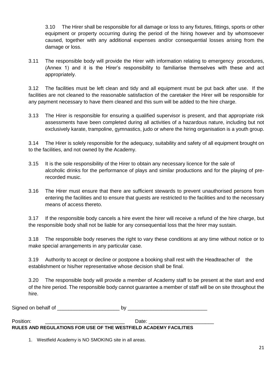3.10 The Hirer shall be responsible for all damage or loss to any fixtures, fittings, sports or other equipment or property occurring during the period of the hiring however and by whomsoever caused, together with any additional expenses and/or consequential losses arising from the damage or loss.

3.11 The responsible body will provide the Hirer with information relating to emergency procedures, (Annex 1) and it is the Hirer's responsibility to familiarise themselves with these and act appropriately.

3.12 The facilities must be left clean and tidy and all equipment must be put back after use. If the facilities are not cleaned to the reasonable satisfaction of the caretaker the Hirer will be responsible for any payment necessary to have them cleaned and this sum will be added to the hire charge.

3.13 The Hirer is responsible for ensuring a qualified supervisor is present, and that appropriate risk assessments have been completed during all activities of a hazardous nature, including but not exclusively karate, trampoline, gymnastics, judo or where the hiring organisation is a youth group.

3.14 The Hirer is solely responsible for the adequacy, suitability and safety of all equipment brought on to the facilities, and not owned by the Academy.

- 3.15 It is the sole responsibility of the Hirer to obtain any necessary licence for the sale of alcoholic drinks for the performance of plays and similar productions and for the playing of prerecorded music.
- 3.16 The Hirer must ensure that there are sufficient stewards to prevent unauthorised persons from entering the facilities and to ensure that guests are restricted to the facilities and to the necessary means of access thereto.

3.17 If the responsible body cancels a hire event the hirer will receive a refund of the hire charge, but the responsible body shall not be liable for any consequential loss that the hirer may sustain.

3.18 The responsible body reserves the right to vary these conditions at any time without notice or to make special arrangements in any particular case.

3.19 Authority to accept or decline or postpone a booking shall rest with the Headteacher of the establishment or his/her representative whose decision shall be final.

3.20 The responsible body will provide a member of Academy staff to be present at the start and end of the hire period. The responsible body cannot guarantee a member of staff will be on site throughout the hire.

Signed on behalf of the state of the by the by the by  $\mathsf{b}\mathsf{v}$ 

Position: \_\_\_\_\_\_\_\_\_\_\_\_\_\_\_\_\_\_\_\_\_\_\_\_\_\_\_\_\_\_\_ Date: \_\_\_\_\_\_\_\_\_\_\_\_\_\_\_\_\_\_\_\_\_\_\_\_\_\_\_\_\_ **RULES AND REGULATIONS FOR USE OF THE WESTFIELD ACADEMY FACILITIES**

1. Westfield Academy is NO SMOKING site in all areas.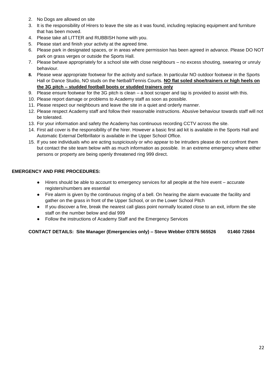- 2. No Dogs are allowed on site
- 3. It is the responsibility of Hirers to leave the site as it was found, including replacing equipment and furniture that has been moved.
- 4. Please take all LITTER and RUBBISH home with you.
- 5. Please start and finish your activity at the agreed time.
- 6. Please park in designated spaces, or in areas where permission has been agreed in advance. Please DO NOT park on grass verges or outside the Sports Hall.
- 7. Please behave appropriately for a school site with close neighbours no excess shouting, swearing or unruly behaviour.
- **8.** Please wear appropriate footwear for the activity and surface. In particular NO outdoor footwear in the Sports Hall or Dance Studio, NO studs on the Netball/Tennis Courts. **NO flat soled shoe/trainers or high heels on the 3G pitch – studded football boots or studded trainers only**
- 9. Please ensure footwear for the 3G pitch is clean a boot scraper and tap is provided to assist with this.
- 10. Please report damage or problems to Academy staff as soon as possible.
- 11. Please respect our neighbours and leave the site in a quiet and orderly manner.
- 12. Please respect Academy staff and follow their reasonable instructions. Abusive behaviour towards staff will not be tolerated.
- 13. For your information and safety the Academy has continuous recording CCTV across the site.
- 14. First aid cover is the responsibility of the hirer. However a basic first aid kit is available in the Sports Hall and Automatic External Defibrillator is available in the Upper School Office.
- 15. If you see individuals who are acting suspiciously or who appear to be intruders please do not confront them but contact the site team below with as much information as possible. In an extreme emergency where either persons or property are being openly threatened ring 999 direct.

#### **EMERGENCY AND FIRE PROCEDURES:**

- Hirers should be able to account to emergency services for all people at the hire event accurate registers/numbers are essential
- Fire alarm is given by the continuous ringing of a bell. On hearing the alarm evacuate the facility and gather on the grass in front of the Upper School, or on the Lower School Pitch
- If you discover a fire, break the nearest call glass point normally located close to an exit, inform the site staff on the number below and dial 999
- Follow the instructions of Academy Staff and the Emergency Services

## **CONTACT DETAILS: Site Manager (Emergencies only) – Steve Webber 07876 565526 01460 72684**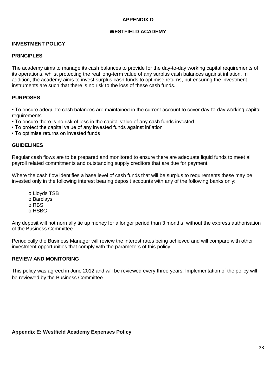# **APPENDIX D**

## **WESTFIELD ACADEMY**

# **INVESTMENT POLICY**

#### **PRINCIPLES**

The academy aims to manage its cash balances to provide for the day-to-day working capital requirements of its operations, whilst protecting the real long-term value of any surplus cash balances against inflation. In addition, the academy aims to invest surplus cash funds to optimise returns, but ensuring the investment instruments are such that there is no risk to the loss of these cash funds.

#### **PURPOSES**

• To ensure adequate cash balances are maintained in the current account to cover day-to-day working capital requirements

- To ensure there is no risk of loss in the capital value of any cash funds invested
- To protect the capital value of any invested funds against inflation
- To optimise returns on invested funds

#### **GUIDELINES**

Regular cash flows are to be prepared and monitored to ensure there are adequate liquid funds to meet all payroll related commitments and outstanding supply creditors that are due for payment.

Where the cash flow identifies a base level of cash funds that will be surplus to requirements these may be invested only in the following interest bearing deposit accounts with any of the following banks only:

o Lloyds TSB o Barclays o RBS o HSBC

Any deposit will not normally tie up money for a longer period than 3 months, without the express authorisation of the Business Committee.

Periodically the Business Manager will review the interest rates being achieved and will compare with other investment opportunities that comply with the parameters of this policy.

#### **REVIEW AND MONITORING**

This policy was agreed in June 2012 and will be reviewed every three years. Implementation of the policy will be reviewed by the Business Committee.

#### **Appendix E: Westfield Academy Expenses Policy**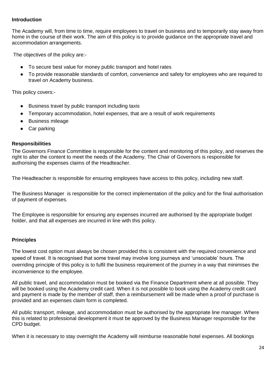## **Introduction**

The Academy will, from time to time, require employees to travel on business and to temporarily stay away from home in the course of their work. The aim of this policy is to provide guidance on the appropriate travel and accommodation arrangements.

The objectives of the policy are:-

- To secure best value for money public transport and hotel rates
- To provide reasonable standards of comfort, convenience and safety for employees who are required to travel on Academy business.

This policy covers:-

- Business travel by public transport including taxis
- Temporary accommodation, hotel expenses, that are a result of work requirements
- **Business mileage**
- Car parking

#### **Responsibilities**

The Governors Finance Committee is responsible for the content and monitoring of this policy, and reserves the right to alter the content to meet the needs of the Academy. The Chair of Governors is responsible for authorising the expenses claims of the Headteacher.

The Headteacher is responsible for ensuring employees have access to this policy, including new staff.

The Business Manager is responsible for the correct implementation of the policy and for the final authorisation of payment of expenses.

The Employee is responsible for ensuring any expenses incurred are authorised by the appropriate budget holder, and that all expenses are incurred in line with this policy.

## **Principles**

The lowest cost option must always be chosen provided this is consistent with the required convenience and speed of travel. It is recognised that some travel may involve long journeys and 'unsociable' hours. The overriding principle of this policy is to fulfil the business requirement of the journey in a way that minimises the inconvenience to the employee.

All public travel, and accommodation must be booked via the Finance Department where at all possible. They will be booked using the Academy credit card. When it is not possible to book using the Academy credit card and payment is made by the member of staff, then a reimbursement will be made when a proof of purchase is provided and an expenses claim form is completed.

All public transport, mileage, and accommodation must be authorised by the appropriate line manager. Where this is related to professional development it must be approved by the Business Manager responsible for the CPD budget.

When it is necessary to stay overnight the Academy will reimburse reasonable hotel expenses. All bookings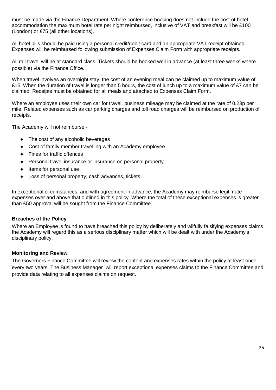must be made via the Finance Department. Where conference booking does not include the cost of hotel accommodation the maximum hotel rate per night reimbursed, inclusive of VAT and breakfast will be £100 (London) or £75 (all other locations).

All hotel bills should be paid using a personal credit/debit card and an appropriate VAT receipt obtained. Expenses will be reimbursed following submission of Expenses Claim Form with appropriate receipts.

All rail travel will be at standard class. Tickets should be booked well in advance (at least three weeks where possible) via the Finance Office.

When travel involves an overnight stay, the cost of an evening meal can be claimed up to maximum value of £15. When the duration of travel is longer than 5 hours, the cost of lunch up to a maximum value of £7 can be claimed. Receipts must be obtained for all meals and attached to Expenses Claim Form.

Where an employee uses their own car for travel, business mileage may be claimed at the rate of 0.23p per mile. Related expenses such as car parking charges and toll road charges will be reimbursed on production of receipts.

The Academy will not reimburse:-

- The cost of any alcoholic beverages
- Cost of family member travelling with an Academy employee
- Fines for traffic offences
- Personal travel insurance or insurance on personal property
- Items for personal use
- Loss of personal property, cash advances, tickets

In exceptional circumstances, and with agreement in advance, the Academy may reimburse legitimate expenses over and above that outlined in this policy. Where the total of these exceptional expenses is greater than £50 approval will be sought from the Finance Committee.

## **Breaches of the Policy**

Where an Employee is found to have breached this policy by deliberately and wilfully falsifying expenses claims the Academy will regard this as a serious disciplinary matter which will be dealt with under the Academy's disciplinary policy.

## **Monitoring and Review**

The Governors Finance Committee will review the content and expenses rates within the policy at least once every two years. The Business Manager will report exceptional expenses claims to the Finance Committee and provide data relating to all expenses claims on request.